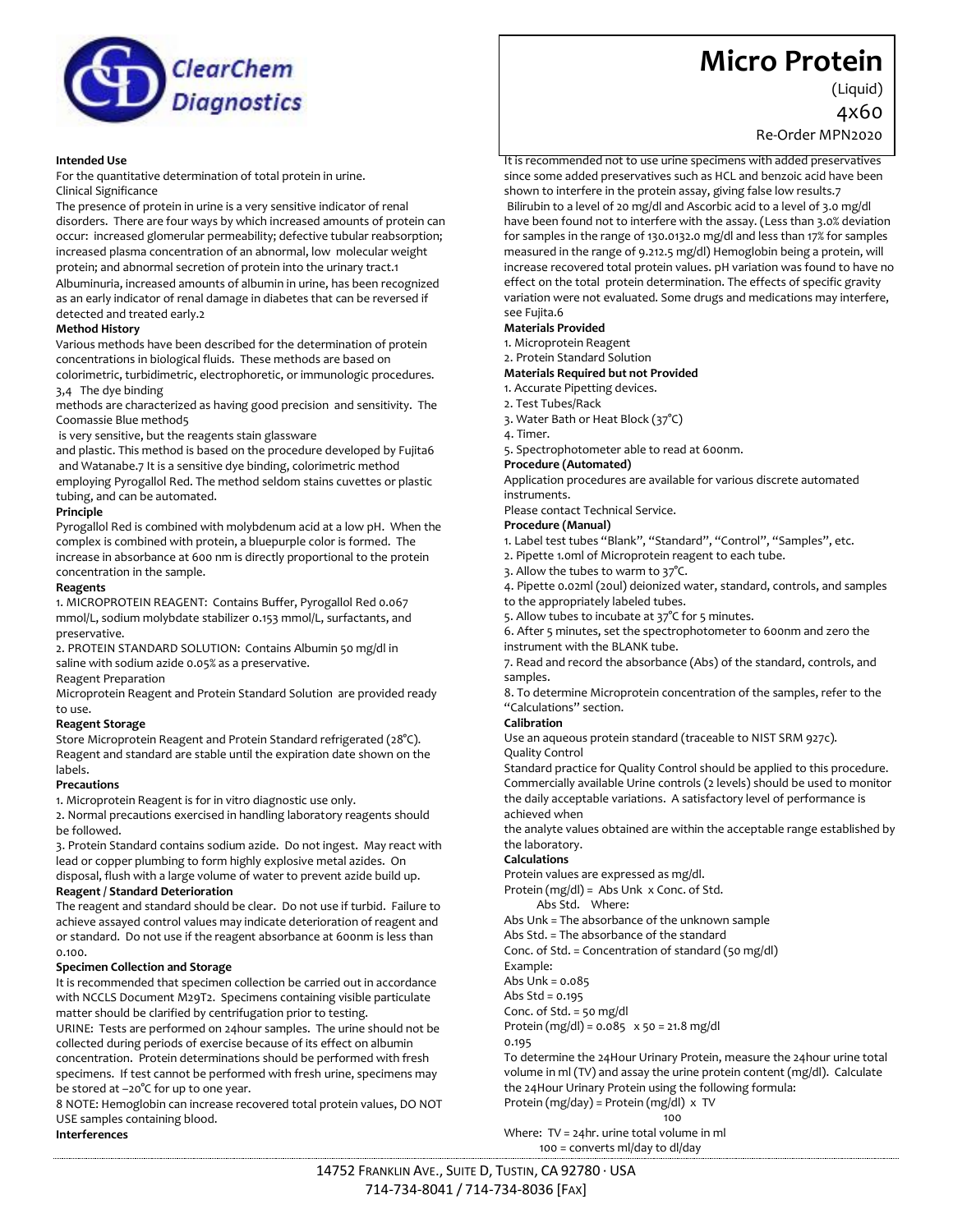

## **Intended Use**

For the quantitative determination of total protein in urine. Clinical Significance

The presence of protein in urine is a very sensitive indicator of renal disorders. There are four ways by which increased amounts of protein can occur: increased glomerular permeability; defective tubular reabsorption; increased plasma concentration of an abnormal, low molecular weight protein; and abnormal secretion of protein into the urinary tract.1

Albuminuria, increased amounts of albumin in urine, has been recognized as an early indicator of renal damage in diabetes that can be reversed if detected and treated early.2

### **Method History**

Various methods have been described for the determination of protein concentrations in biological fluids. These methods are based on colorimetric, turbidimetric, electrophoretic, or immunologic procedures. 3,4 The dye binding

methods are characterized as having good precision and sensitivity. The Coomassie Blue method5

is very sensitive, but the reagents stain glassware

and plastic. This method is based on the procedure developed by Fujita6 and Watanabe.7 It is a sensitive dye binding, colorimetric method employing Pyrogallol Red. The method seldom stains cuvettes or plastic tubing, and can be automated.

## **Principle**

Pyrogallol Red is combined with molybdenum acid at a low pH. When the complex is combined with protein, a bluepurple color is formed. The increase in absorbance at 600 nm is directly proportional to the protein concentration in the sample.

## **Reagents**

1. MICROPROTEIN REAGENT: Contains Buffer, Pyrogallol Red 0.067 mmol/L, sodium molybdate stabilizer 0.153 mmol/L, surfactants, and preservative.

2. PROTEIN STANDARD SOLUTION: Contains Albumin 50 mg/dl in saline with sodium azide 0.05% as a preservative.

Reagent Preparation

Microprotein Reagent and Protein Standard Solution are provided ready to use.

### **Reagent Storage**

Store Microprotein Reagent and Protein Standard refrigerated (28°C). Reagent and standard are stable until the expiration date shown on the labels.

### **Precautions**

1. Microprotein Reagent is for in vitro diagnostic use only.

2. Normal precautions exercised in handling laboratory reagents should be followed.

3. Protein Standard contains sodium azide. Do not ingest. May react with lead or copper plumbing to form highly explosive metal azides. On

disposal, flush with a large volume of water to prevent azide build up. **Reagent / Standard Deterioration** 

The reagent and standard should be clear. Do not use if turbid. Failure to achieve assayed control values may indicate deterioration of reagent and or standard. Do not use if the reagent absorbance at 600nm is less than 0.100.

# **Specimen Collection and Storage**

It is recommended that specimen collection be carried out in accordance with NCCLS Document M29T2. Specimens containing visible particulate matter should be clarified by centrifugation prior to testing.

URINE: Tests are performed on 24hour samples. The urine should not be collected during periods of exercise because of its effect on albumin concentration. Protein determinations should be performed with fresh specimens. If test cannot be performed with fresh urine, specimens may be stored at –20°C for up to one year.

8 NOTE: Hemoglobin can increase recovered total protein values, DO NOT USE samples containing blood.

# **Interferences**

**Micro Protein**

(Liquid) 4x60

Re-Order MPN2020

It is recommended not to use urine specimens with added preservatives since some added preservatives such as HCL and benzoic acid have been shown to interfere in the protein assay, giving false low results.7 Bilirubin to a level of 20 mg/dl and Ascorbic acid to a level of 3.0 mg/dl have been found not to interfere with the assay. (Less than 3.0% deviation for samples in the range of 130.0132.0 mg/dl and less than 17% for samples measured in the range of 9.212.5 mg/dl) Hemoglobin being a protein, will increase recovered total protein values. pH variation was found to have no effect on the total protein determination. The effects of specific gravity variation were not evaluated. Some drugs and medications may interfere, see Fujita.6

# **Materials Provided**

1. Microprotein Reagent

2. Protein Standard Solution

## **Materials Required but not Provided**

1. Accurate Pipetting devices.

2. Test Tubes/Rack

- 3. Water Bath or Heat Block (37°C)
- 4. Timer.

5. Spectrophotometer able to read at 600nm.

### **Procedure (Automated)**

Application procedures are available for various discrete automated instruments.

Please contact Technical Service.

### **Procedure (Manual)**

1. Label test tubes "Blank", "Standard", "Control", "Samples", etc.

2. Pipette 1.0ml of Microprotein reagent to each tube.

3. Allow the tubes to warm to 37°C.

4. Pipette 0.02ml (20ul) deionized water, standard, controls, and samples to the appropriately labeled tubes.

5. Allow tubes to incubate at 37°C for 5 minutes.

6. After 5 minutes, set the spectrophotometer to 600nm and zero the instrument with the BLANK tube.

7. Read and record the absorbance (Abs) of the standard, controls, and samples.

8. To determine Microprotein concentration of the samples, refer to the "Calculations" section.

# **Calibration**

Use an aqueous protein standard (traceable to NIST SRM 927c). Quality Control

Standard practice for Quality Control should be applied to this procedure. Commercially available Urine controls (2 levels) should be used to monitor the daily acceptable variations. A satisfactory level of performance is achieved when

the analyte values obtained are within the acceptable range established by the laboratory.

### **Calculations**

Protein values are expressed as mg/dl.

Protein (mg/dl) = Abs Unk x Conc. of Std.

Abs Std. Where:

Abs Unk = The absorbance of the unknown sample

Abs Std. = The absorbance of the standard

Conc. of Std. = Concentration of standard (50 mg/dl)

Example:

Abs Unk = 0.085

Abs Std = 0.195

Conc. of Std. = 50 mg/dl Protein (mg/dl) =  $0.085$  x  $50 = 21.8$  mg/dl

0.195

To determine the 24Hour Urinary Protein, measure the 24hour urine total volume in ml (TV) and assay the urine protein content (mg/dl). Calculate the 24Hour Urinary Protein using the following formula: Protein (mg/day) = Protein (mg/dl) x TV

100 and 100 Where: TV = 24hr. urine total volume in ml 100 = converts ml/day to dl/day

14752 FRANKLIN AVE., SUITE D, TUSTIN, CA 92780 · USA 714-734-8041 / 714-734-8036 [FAX]